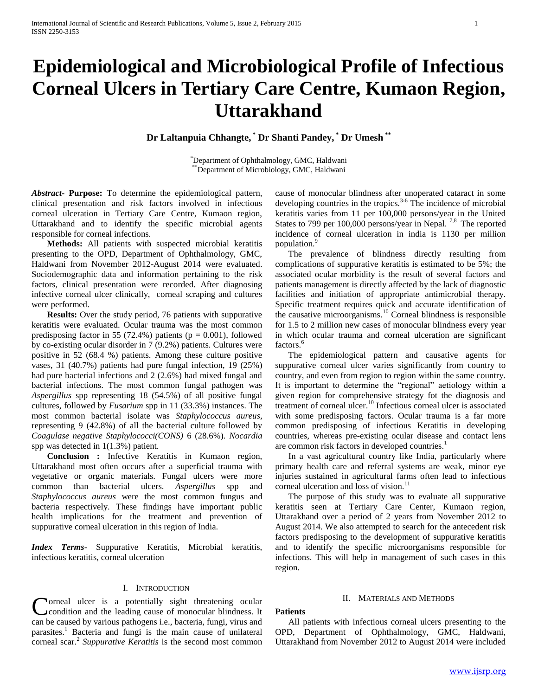# **Epidemiological and Microbiological Profile of Infectious Corneal Ulcers in Tertiary Care Centre, Kumaon Region, Uttarakhand**

**Dr Laltanpuia Chhangte, \* Dr Shanti Pandey, \* Dr Umesh \*\***

\*Department of Ophthalmology, GMC, Haldwani \*\*Department of Microbiology, GMC, Haldwani

*Abstract***- Purpose:** To determine the epidemiological pattern, clinical presentation and risk factors involved in infectious corneal ulceration in Tertiary Care Centre, Kumaon region, Uttarakhand and to identify the specific microbial agents responsible for corneal infections.

 **Methods:** All patients with suspected microbial keratitis presenting to the OPD, Department of Ophthalmology, GMC, Haldwani from November 2012-August 2014 were evaluated. Sociodemographic data and information pertaining to the risk factors, clinical presentation were recorded. After diagnosing infective corneal ulcer clinically, corneal scraping and cultures were performed.

 **Results:** Over the study period, 76 patients with suppurative keratitis were evaluated. Ocular trauma was the most common predisposing factor in 55 (72.4%) patients ( $p = 0.001$ ), followed by co-existing ocular disorder in 7 (9.2%) patients. Cultures were positive in 52 (68.4 %) patients. Among these culture positive vases, 31 (40.7%) patients had pure fungal infection, 19 (25%) had pure bacterial infections and 2 (2.6%) had mixed fungal and bacterial infections. The most common fungal pathogen was *Aspergillus* spp representing 18 (54.5%) of all positive fungal cultures, followed by *Fusarium* spp in 11 (33.3%) instances. The most common bacterial isolate was *Staphylococcus aureus,*  representing 9 (42.8%) of all the bacterial culture followed by *Coagulase negative Staphylococci(CONS)* 6 (28.6%). *Nocardia*  spp was detected in 1(1.3%) patient.

 **Conclusion :** Infective Keratitis in Kumaon region, Uttarakhand most often occurs after a superficial trauma with vegetative or organic materials. Fungal ulcers were more common than bacterial ulcers. *Aspergillus* spp and *Staphylococcus aureus* were the most common fungus and bacteria respectively. These findings have important public health implications for the treatment and prevention of suppurative corneal ulceration in this region of India.

*Index Terms*- Suppurative Keratitis, Microbial keratitis, infectious keratitis, corneal ulceration

# I. INTRODUCTION

**Norneal ulcer is a potentially sight threatening ocular** condition and the leading cause of monocular blindness. It **C** component on the cause of monocular blindness. It can be caused by various pathogens i.e., bacteria, fungi, virus and parasites.<sup>1</sup> Bacteria and fungi is the main cause of unilateral corneal scar.<sup>2</sup> *Suppurative Keratitis* is the second most common cause of monocular blindness after unoperated cataract in some developing countries in the tropics*.* 3-6 The incidence of microbial keratitis varies from 11 per 100,000 persons/year in the United States to 799 per 100,000 persons/year in Nepal.<sup>7,8</sup> The reported incidence of corneal ulceration in india is 1130 per million population.<sup>9</sup>

 The prevalence of blindness directly resulting from complications of suppurative keratitis is estimated to be 5%; the associated ocular morbidity is the result of several factors and patients management is directly affected by the lack of diagnostic facilities and initiation of appropriate antimicrobial therapy. Specific treatment requires quick and accurate identification of the causative microorganisms.<sup>10</sup> Corneal blindness is responsible for 1.5 to 2 million new cases of monocular blindness every year in which ocular trauma and corneal ulceration are significant factors.<sup>6</sup>

 The epidemiological pattern and causative agents for suppurative corneal ulcer varies significantly from country to country, and even from region to region within the same country. It is important to determine the "regional" aetiology within a given region for comprehensive strategy fot the diagnosis and treatment of corneal ulcer.<sup>10</sup> Infectious corneal ulcer is associated with some predisposing factors. Ocular trauma is a far more common predisposing of infectious Keratitis in developing countries, whereas pre-existing ocular disease and contact lens are common risk factors in developed countries.<sup>1</sup>

 In a vast agricultural country like India, particularly where primary health care and referral systems are weak, minor eye injuries sustained in agricultural farms often lead to infectious corneal ulceration and loss of vision.<sup>11</sup>

 The purpose of this study was to evaluate all suppurative keratitis seen at Tertiary Care Center, Kumaon region, Uttarakhand over a period of 2 years from November 2012 to August 2014. We also attempted to search for the antecedent risk factors predisposing to the development of suppurative keratitis and to identify the specific microorganisms responsible for infections. This will help in management of such cases in this region.

#### II. MATERIALS AND METHODS

### **Patients**

 All patients with infectious corneal ulcers presenting to the OPD, Department of Ophthalmology, GMC, Haldwani, Uttarakhand from November 2012 to August 2014 were included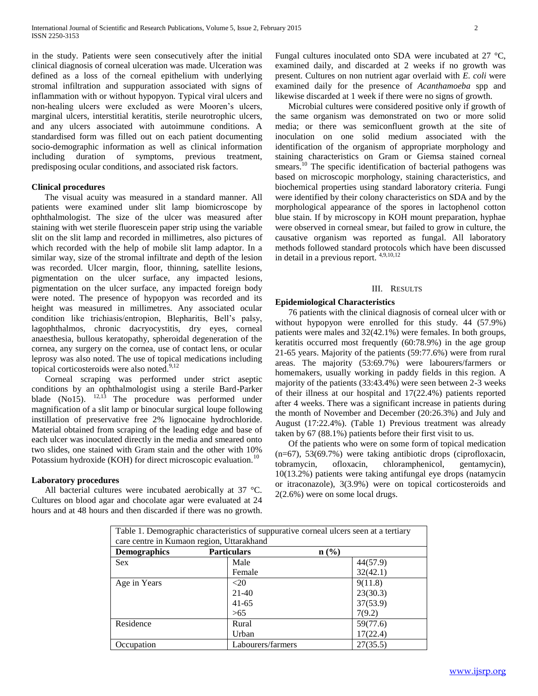in the study. Patients were seen consecutively after the initial clinical diagnosis of corneal ulceration was made. Ulceration was defined as a loss of the corneal epithelium with underlying stromal infiltration and suppuration associated with signs of inflammation with or without hypopyon. Typical viral ulcers and non-healing ulcers were excluded as were Mooren's ulcers, marginal ulcers, interstitial keratitis, sterile neurotrophic ulcers, and any ulcers associated with autoimmune conditions. A standardised form was filled out on each patient documenting socio-demographic information as well as clinical information including duration of symptoms, previous treatment, predisposing ocular conditions, and associated risk factors.

## **Clinical procedures**

 The visual acuity was measured in a standard manner. All patients were examined under slit lamp biomicroscope by ophthalmologist. The size of the ulcer was measured after staining with wet sterile fluorescein paper strip using the variable slit on the slit lamp and recorded in millimetres, also pictures of which recorded with the help of mobile slit lamp adaptor. In a similar way, size of the stromal infiltrate and depth of the lesion was recorded. Ulcer margin, floor, thinning, satellite lesions, pigmentation on the ulcer surface, any impacted lesions, pigmentation on the ulcer surface, any impacted foreign body were noted. The presence of hypopyon was recorded and its height was measured in millimetres. Any associated ocular condition like trichiasis/entropion, Blepharitis, Bell's palsy, lagophthalmos, chronic dacryocystitis, dry eyes, corneal anaesthesia, bullous keratopathy, spheroidal degeneration of the cornea, any surgery on the cornea, use of contact lens, or ocular leprosy was also noted. The use of topical medications including topical corticosteroids were also noted.<sup>9,12</sup>

 Corneal scraping was performed under strict aseptic conditions by an ophthalmologist using a sterile Bard-Parker blade (No15). <sup>12,13</sup> The procedure was performed under magnification of a slit lamp or binocular surgical loupe following instillation of preservative free 2% lignocaine hydrochloride. Material obtained from scraping of the leading edge and base of each ulcer was inoculated directly in the media and smeared onto two slides, one stained with Gram stain and the other with 10% Potassium hydroxide (KOH) for direct microscopic evaluation.<sup>10</sup>

### **Laboratory procedures**

All bacterial cultures were incubated aerobically at 37 °C. Cultures on blood agar and chocolate agar were evaluated at 24 hours and at 48 hours and then discarded if there was no growth. Fungal cultures inoculated onto SDA were incubated at 27 °C, examined daily, and discarded at 2 weeks if no growth was present. Cultures on non nutrient agar overlaid with *E. coli* were examined daily for the presence of *Acanthamoeba* spp and likewise discarded at 1 week if there were no signs of growth.

 Microbial cultures were considered positive only if growth of the same organism was demonstrated on two or more solid media; or there was semiconfluent growth at the site of inoculation on one solid medium associated with the identification of the organism of appropriate morphology and staining characteristics on Gram or Giemsa stained corneal smears.<sup>10</sup> The specific identification of bacterial pathogens was based on microscopic morphology, staining characteristics, and biochemical properties using standard laboratory criteria. Fungi were identified by their colony characteristics on SDA and by the morphological appearance of the spores in lactophenol cotton blue stain. If by microscopy in KOH mount preparation, hyphae were observed in corneal smear, but failed to grow in culture, the causative organism was reported as fungal. All laboratory methods followed standard protocols which have been discussed in detail in a previous report. 4,9,10,12

#### III. RESULTS

## **Epidemiological Characteristics**

 76 patients with the clinical diagnosis of corneal ulcer with or without hypopyon were enrolled for this study. 44 (57.9%) patients were males and 32(42.1%) were females. In both groups, keratitis occurred most frequently (60:78.9%) in the age group 21-65 years. Majority of the patients (59:77.6%) were from rural areas. The majority (53:69.7%) were labourers/farmers or homemakers, usually working in paddy fields in this region. A majority of the patients (33:43.4%) were seen between 2-3 weeks of their illness at our hospital and 17(22.4%) patients reported after 4 weeks. There was a significant increase in patients during the month of November and December (20:26.3%) and July and August (17:22.4%). (Table 1) Previous treatment was already taken by 67 (88.1%) patients before their first visit to us.

 Of the patients who were on some form of topical medication (n=67), 53(69.7%) were taking antibiotic drops (ciprofloxacin, tobramycin, ofloxacin, chloramphenicol, gentamycin), 10(13.2%) patients were taking antifungal eye drops (natamycin or itraconazole), 3(3.9%) were on topical corticosteroids and 2(2.6%) were on some local drugs.

| Table 1. Demographic characteristics of suppurative corneal ulcers seen at a tertiary |                               |          |  |
|---------------------------------------------------------------------------------------|-------------------------------|----------|--|
| care centre in Kumaon region, Uttarakhand                                             |                               |          |  |
| <b>Demographics</b>                                                                   | <b>Particulars</b><br>$n$ (%) |          |  |
| <b>Sex</b>                                                                            | Male                          | 44(57.9) |  |
|                                                                                       | Female                        | 32(42.1) |  |
| Age in Years                                                                          | $<$ 20                        | 9(11.8)  |  |
|                                                                                       | $21-40$                       | 23(30.3) |  |
|                                                                                       | $41-65$                       | 37(53.9) |  |
|                                                                                       | >65                           | 7(9.2)   |  |
| Residence                                                                             | Rural                         | 59(77.6) |  |
|                                                                                       | Urban                         | 17(22.4) |  |
| Occupation                                                                            | Labourers/farmers             | 27(35.5) |  |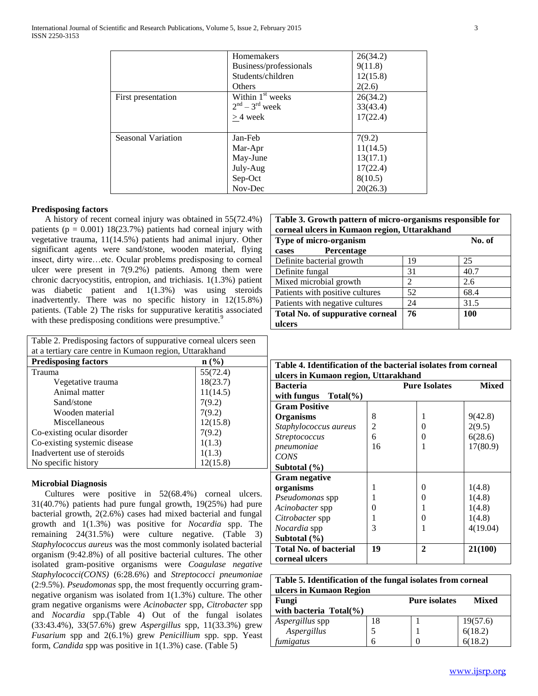|                           | <b>Homemakers</b>            | 26(34.2) |
|---------------------------|------------------------------|----------|
|                           |                              |          |
|                           | Business/professionals       | 9(11.8)  |
|                           | Students/children            | 12(15.8) |
|                           | Others                       | 2(2.6)   |
| First presentation        | Within 1 <sup>st</sup> weeks | 26(34.2) |
|                           | $2nd - 3rd$ week             | 33(43.4) |
|                           | $>$ 4 week                   | 17(22.4) |
|                           |                              |          |
| <b>Seasonal Variation</b> | Jan-Feb                      | 7(9.2)   |
|                           | Mar-Apr                      | 11(14.5) |
|                           | May-June                     | 13(17.1) |
|                           | July-Aug                     | 17(22.4) |
|                           | Sep-Oct                      | 8(10.5)  |
|                           | Nov-Dec                      | 20(26.3) |

# **Predisposing factors**

 A history of recent corneal injury was obtained in 55(72.4%) patients ( $p = 0.001$ ) 18(23.7%) patients had corneal injury with vegetative trauma, 11(14.5%) patients had animal injury. Other significant agents were sand/stone, wooden material, flying insect, dirty wire…etc. Ocular problems predisposing to corneal ulcer were present in 7(9.2%) patients. Among them were chronic dacryocystitis, entropion, and trichiasis. 1(1.3%) patient was diabetic patient and 1(1.3%) was using steroids inadvertently. There was no specific history in 12(15.8%) patients. (Table 2) The risks for suppurative keratitis associated with these predisposing conditions were presumptive.<sup>9</sup>

| Table 2. Predisposing factors of suppurative corneal ulcers seen |          |  |  |
|------------------------------------------------------------------|----------|--|--|
| at a tertiary care centre in Kumaon region, Uttarakhand          |          |  |  |
| <b>Predisposing factors</b><br>$\mathbf{n}(\%)$                  |          |  |  |
| Trauma                                                           | 55(72.4) |  |  |
| Vegetative trauma                                                | 18(23.7) |  |  |
| Animal matter                                                    | 11(14.5) |  |  |
| Sand/stone                                                       | 7(9.2)   |  |  |
| Wooden material                                                  | 7(9.2)   |  |  |
| Miscellaneous                                                    | 12(15.8) |  |  |
| Co-existing ocular disorder                                      | 7(9.2)   |  |  |
| Co-existing systemic disease                                     | 1(1.3)   |  |  |
| Inadvertent use of steroids                                      | 1(1.3)   |  |  |
| 12(15.8)<br>No specific history                                  |          |  |  |

# **Microbial Diagnosis**

 Cultures were positive in 52(68.4%) corneal ulcers. 31(40.7%) patients had pure fungal growth, 19(25%) had pure bacterial growth, 2(2.6%) cases had mixed bacterial and fungal growth and 1(1.3%) was positive for *Nocardia* spp. The remaining 24(31.5%) were culture negative. (Table 3) *Staphylococcus aureus* was the most commonly isolated bacterial organism (9:42.8%) of all positive bacterial cultures. The other isolated gram-positive organisms were *Coagulase negative Staphylococci(CONS)* (6:28.6%) and *Streptococci pneumoniae*  (2:9.5%). *Pseudomonas* spp, the most frequently occurring gramnegative organism was isolated from 1(1.3%) culture. The other gram negative organisms were *Acinobacter* spp, *Citrobacter* spp and *Nocardia* spp.(Table 4) Out of the fungal isolates (33:43.4%), 33(57.6%) grew *Aspergillus* spp, 11(33.3%) grew *Fusarium* spp and 2(6.1%) grew *Penicillium* spp. spp. Yeast form, *Candida* spp was positive in 1(1.3%) case. (Table 5)

| Table 3. Growth pattern of micro-organisms responsible for<br>corneal ulcers in Kumaon region, Uttarakhand |    |            |  |
|------------------------------------------------------------------------------------------------------------|----|------------|--|
| Type of micro-organism                                                                                     |    | No. of     |  |
| Percentage<br>cases                                                                                        |    |            |  |
| Definite bacterial growth                                                                                  | 19 | 25         |  |
| Definite fungal                                                                                            | 31 | 40.7       |  |
| Mixed microbial growth                                                                                     | 2  | 2.6        |  |
| Patients with positive cultures                                                                            | 52 | 68.4       |  |
| Patients with negative cultures                                                                            | 24 | 31.5       |  |
| <b>Total No. of suppurative corneal</b>                                                                    | 76 | <b>100</b> |  |
| ulcers                                                                                                     |    |            |  |

| Table 4. Identification of the bacterial isolates from corneal<br>ulcers in Kumaon region, Uttarakhand |                |                      |              |
|--------------------------------------------------------------------------------------------------------|----------------|----------------------|--------------|
| <b>Bacteria</b>                                                                                        |                | <b>Pure Isolates</b> | <b>Mixed</b> |
| with fungus<br>$Total(\%)$                                                                             |                |                      |              |
| <b>Gram Positive</b>                                                                                   |                |                      |              |
| <b>Organisms</b>                                                                                       | 8              |                      | 9(42.8)      |
| Staphylococcus aureus                                                                                  | $\overline{c}$ | $\Omega$             | 2(9.5)       |
| <i>Streptococcus</i>                                                                                   | 6              | 0                    | 6(28.6)      |
| pneumoniae                                                                                             | 16             |                      | 17(80.9)     |
| CONS                                                                                                   |                |                      |              |
| Subtotal (%)                                                                                           |                |                      |              |
| <b>Gram negative</b>                                                                                   |                |                      |              |
| organisms                                                                                              |                | $\Omega$             | 1(4.8)       |
| Pseudomonas spp                                                                                        |                | $_{0}$               | 1(4.8)       |
| <i>Acinobacter</i> spp                                                                                 | $\mathbf{0}$   |                      | 1(4.8)       |
| <i>Citrobacter</i> spp                                                                                 |                | $\Omega$             | 1(4.8)       |
| <i>Nocardia</i> spp                                                                                    | 3              |                      | 4(19.04)     |
| Subtotal (%)                                                                                           |                |                      |              |
| <b>Total No. of bacterial</b>                                                                          | 19             | 2                    | 21(100)      |
| corneal ulcers                                                                                         |                |                      |              |

| Table 5. Identification of the fungal isolates from corneal |    |                      |                       |
|-------------------------------------------------------------|----|----------------------|-----------------------|
| ulcers in Kumaon Region                                     |    |                      |                       |
| Fungi                                                       |    | <b>Pure isolates</b> | <b>Mixed</b>          |
| with bacteria $Total(\%)$                                   |    |                      |                       |
| Aspergillus spp                                             | 18 |                      |                       |
| Aspergillus                                                 |    |                      | $19(57.6)$<br>6(18.2) |
| fumigatus                                                   |    |                      | 6(18.2)               |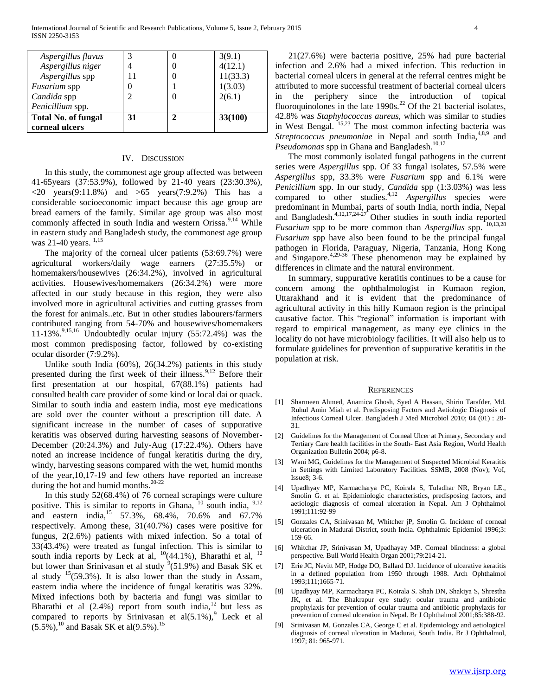| Aspergillus flavus         | 3  | O | 3(9.1)   |
|----------------------------|----|---|----------|
| Aspergillus niger          |    | 0 | 4(12.1)  |
| Aspergillus spp            |    | 0 | 11(33.3) |
| Fusarium spp               | 0  |   | 1(3.03)  |
| Candida spp                | 2  | 0 | 2(6.1)   |
| Penicillium spp.           |    |   |          |
| <b>Total No. of fungal</b> | 31 | 2 | 33(100)  |
| corneal ulcers             |    |   |          |

# IV. DISCUSSION

 In this study, the commonest age group affected was between 41-65years (37:53.9%), followed by 21-40 years (23:30.3%),  $\langle 20 \text{ years} (9:11.8\%)$  and  $\langle 55 \text{ years} (7:9.2\%)$  This has a considerable socioeconomic impact because this age group are bread earners of the family. Similar age group was also most commonly affected in south India and western Orissa.<sup>9,14</sup> While in eastern study and Bangladesh study, the commonest age group was 21-40 years.  $^{1,15}$ 

 The majority of the corneal ulcer patients (53:69.7%) were agricultural workers/daily wage earners (27:35.5%) or homemakers/housewives (26:34.2%), involved in agricultural activities. Housewives/homemakers (26:34.2%) were more affected in our study because in this region, they were also involved more in agricultural activities and cutting grasses from the forest for animals..etc. But in other studies labourers/farmers contributed ranging from 54-70% and housewives/homemakers  $11-13\%$ .<sup>9,15,16</sup> Undoubtedly ocular injury (55:72.4%) was the most common predisposing factor, followed by co-existing ocular disorder (7:9.2%).

 Unlike south India (60%), 26(34.2%) patients in this study presented during the first week of their illness.<sup>9,12</sup> Before their first presentation at our hospital, 67(88.1%) patients had consulted health care provider of some kind or local dai or quack. Similar to south india and eastern india, most eye medications are sold over the counter without a prescription till date. A significant increase in the number of cases of suppurative keratitis was observed during harvesting seasons of November-December (20:24.3%) and July-Aug (17:22.4%). Others have noted an increase incidence of fungal keratitis during the dry, windy, harvesting seasons compared with the wet, humid months of the year,10,17-19 and few others have reported an increase during the hot and humid months.<sup>20-22</sup>

 In this study 52(68.4%) of 76 corneal scrapings were culture positive. This is similar to reports in Ghana, <sup>10</sup> south india, <sup>9,12</sup> and eastern india,<sup>15</sup> 57.3%, 68.4%, 70.6% and 67.7% respectively. Among these, 31(40.7%) cases were positive for fungus, 2(2.6%) patients with mixed infection. So a total of 33(43.4%) were treated as fungal infection. This is similar to south india reports by Leck at al,  $^{10}(44.1\%)$ , Bharathi et al,  $^{12}$ but lower than Srinivasan et al study  $9(51.9%)$  and Basak SK et al study  $15(59.3\%)$ . It is also lower than the study in Assam, eastern india where the incidence of fungal keratitis was 32%. Mixed infections both by bacteria and fungi was similar to Bharathi et al  $(2.4\%)$  report from south india,<sup>12</sup> but less as compared to reports by Srinivasan et al $(5.1\%)$ , Leck et al  $(5.5\%)$ ,<sup>10</sup> and Basak SK et al(9.5%).<sup>15</sup>

 21(27.6%) were bacteria positive, 25% had pure bacterial infection and 2.6% had a mixed infection. This reduction in bacterial corneal ulcers in general at the referral centres might be attributed to more successful treatment of bacterial corneal ulcers in the periphery since the introduction of topical fluoroquinolones in the late  $1990s<sup>22</sup>$  Of the 21 bacterial isolates, 42.8% was *Staphylococcus aureus,* which was similar to studies in West Bengal. <sup>15,23</sup> The most common infecting bacteria was *Streptococcus pneumoniae* in Nepal and south India,<sup>4,8,9</sup> and *Pseudomonas* spp in Ghana and Bangladesh.<sup>10,17</sup>

 The most commonly isolated fungal pathogens in the current series were *Aspergillus* spp. Of 33 fungal isolates, 57.5% were *Aspergillus* spp, 33.3% were *Fusarium* spp and 6.1% were *Penicillium* spp. In our study, *Candida* spp (1:3.03%) was less compared to other studies.4,12 *Aspergillus* species were predominant in Mumbai, parts of south India, north india, Nepal and Bangladesh.<sup>4,12,17,24-27</sup> Other studies in south india reported *Fusarium* spp to be more common than *Aspergillus* spp. <sup>10,13,28</sup> *Fusarium* spp have also been found to be the principal fungal pathogen in Florida, Paraguay, Nigeria, Tanzania, Hong Kong and Singapore. $4,29-36$  These phenomenon may be explained by differences in climate and the natural environment.

 In summary, suppurative keratitis continues to be a cause for concern among the ophthalmologist in Kumaon region, Uttarakhand and it is evident that the predominance of agricultural activity in this hilly Kumaon region is the principal causative factor. This "regional" information is important with regard to empirical management, as many eye clinics in the locality do not have microbiology facilities. It will also help us to formulate guidelines for prevention of suppurative keratitis in the population at risk.

### **REFERENCES**

- [1] Sharmeen Ahmed, Anamica Ghosh, Syed A Hassan, Shirin Tarafder, Md. Ruhul Amin Miah et al. Predisposing Factors and Aetiologic Diagnosis of Infectious Corneal Ulcer. Bangladesh J Med Microbiol 2010; 04 (01) : 28- 31.
- [2] Guidelines for the Management of Corneal Ulcer at Primary, Secondary and Tertiary Care health facilities in the South- East Asia Region, World Health Organization Bulletin 2004; p6-8.
- [3] Wani MG, Guidelines for the Management of Suspected Microbial Keratitis in Settings with Limited Laboratory Facilities. SSMB, 2008 (Nov); VoI, Issue8; 3-6.
- [4] Upadhyay MP, Karmacharya PC, Koirala S, Tuladhar NR, Bryan LE., Smolin G. et al. Epidemiologic characteristics, predisposing factors, and aetiologic diagnosis of corneal ulceration in Nepal. Am J Ophthalmol 1991;111:92-99
- [5] Gonzales CA, Srinivasan M, Whitcher jP, Smolin G. Incidenc of corneal ulceration in Madurai District, south India. Ophthalmic Epidemiol 1996;3: 159-66.
- [6] Whitchar JP, Srinivasan M, Upadhayay MP. Corneal blindness: a global perspective. Bull World Health Organ 2001;79:214-21.
- [7] Erie JC, Nevitt MP, Hodge DO, Ballard DJ. Incidence of ulcerative keratitis in a defined population from 1950 through 1988. Arch Ophthalmol 1993;111;1665-71.
- [8] Upadhyay MP, Karmacharya PC, Koirala S. Shah DN, Shakiya S, Shrestha JK, et al. The Bhakrapur eye study: ocular trauma and antibiotic prophylaxis for prevention of ocular trauma and antibiotic prophylaxis for prevention of corneal ulceration in Nepal. Br J Ophthalmol 2001;85:388-92.
- [9] Srinivasan M, Gonzales CA, George C et al. Epidemiology and aetiological diagnosis of corneal ulceration in Madurai, South India. Br J Ophthalmol, 1997; 81: 965-971.